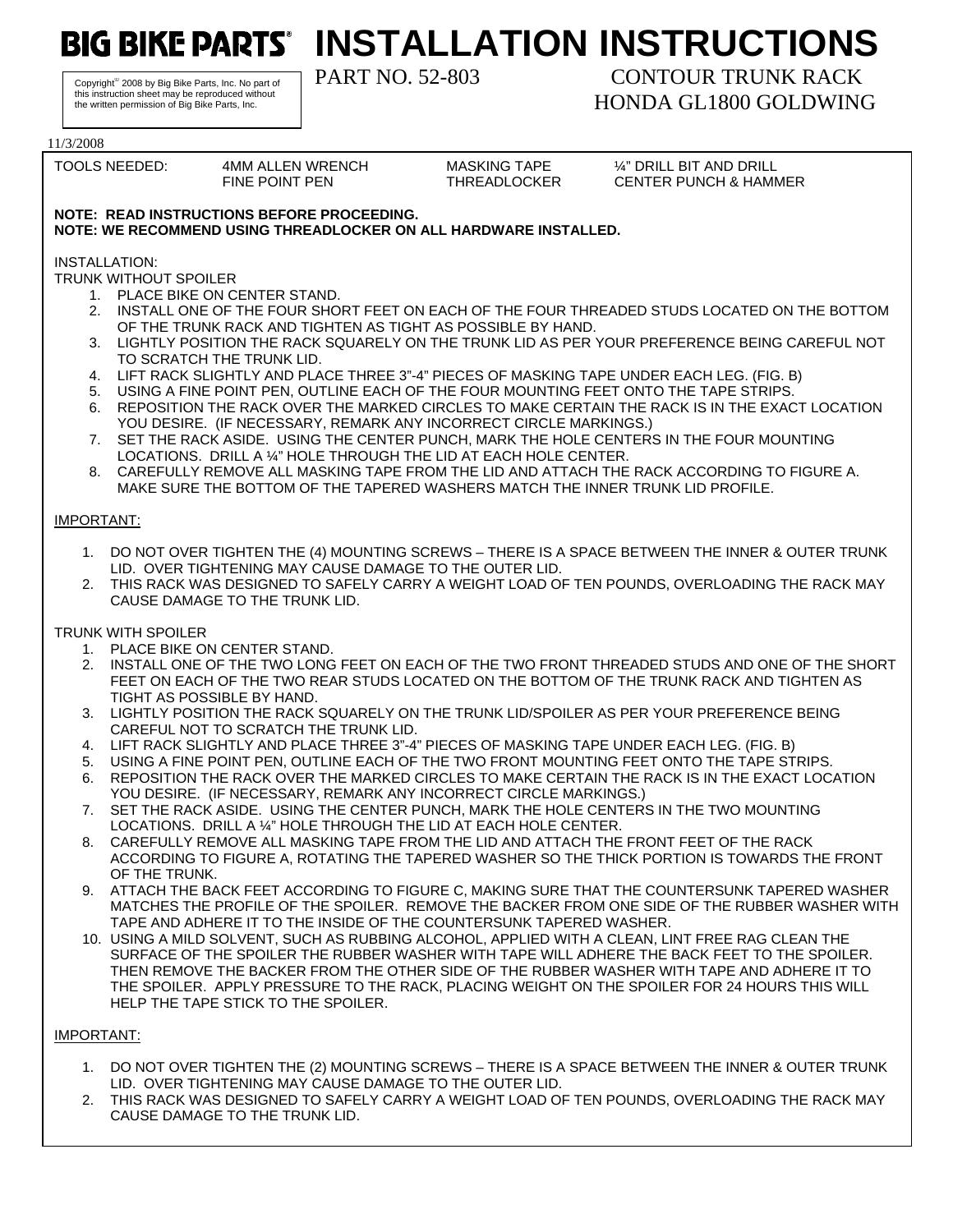**BIG BIKE PARTS' INSTALLATION INSTRUCTIONS** 

Copyright© 2008 by Big Bike Parts, Inc. No part of this instruction sheet may be reproduced without the written permission of Big Bike Parts, Inc.

## PART NO. 52-803 CONTOUR TRUNK RACK HONDA GL1800 GOLDWING

11/3/2008 TOOLS NEEDED: 4MM ALLEN WRENCH MASKING TAPE ¼" DRILL BIT AND DRILL FINE POINT PEN THREADLOCKER CENTER PUNCH & HAMMER **NOTE: READ INSTRUCTIONS BEFORE PROCEEDING. NOTE: WE RECOMMEND USING THREADLOCKER ON ALL HARDWARE INSTALLED.**  INSTALLATION: TRUNK WITHOUT SPOILER 1. PLACE BIKE ON CENTER STAND. 2. INSTALL ONE OF THE FOUR SHORT FEET ON EACH OF THE FOUR THREADED STUDS LOCATED ON THE BOTTOM OF THE TRUNK RACK AND TIGHTEN AS TIGHT AS POSSIBLE BY HAND. 3. LIGHTLY POSITION THE RACK SQUARELY ON THE TRUNK LID AS PER YOUR PREFERENCE BEING CAREFUL NOT TO SCRATCH THE TRUNK LID. 4. LIFT RACK SLIGHTLY AND PLACE THREE 3"-4" PIECES OF MASKING TAPE UNDER EACH LEG. (FIG. B) 5. USING A FINE POINT PEN, OUTLINE EACH OF THE FOUR MOUNTING FEET ONTO THE TAPE STRIPS. 6. REPOSITION THE RACK OVER THE MARKED CIRCLES TO MAKE CERTAIN THE RACK IS IN THE EXACT LOCATION YOU DESIRE. (IF NECESSARY, REMARK ANY INCORRECT CIRCLE MARKINGS.) 7. SET THE RACK ASIDE. USING THE CENTER PUNCH, MARK THE HOLE CENTERS IN THE FOUR MOUNTING LOCATIONS. DRILL A ¼" HOLE THROUGH THE LID AT EACH HOLE CENTER. 8. CAREFULLY REMOVE ALL MASKING TAPE FROM THE LID AND ATTACH THE RACK ACCORDING TO FIGURE A. MAKE SURE THE BOTTOM OF THE TAPERED WASHERS MATCH THE INNER TRUNK LID PROFILE. IMPORTANT: 1. DO NOT OVER TIGHTEN THE (4) MOUNTING SCREWS – THERE IS A SPACE BETWEEN THE INNER & OUTER TRUNK LID. OVER TIGHTENING MAY CAUSE DAMAGE TO THE OUTER LID. 2. THIS RACK WAS DESIGNED TO SAFELY CARRY A WEIGHT LOAD OF TEN POUNDS, OVERLOADING THE RACK MAY CAUSE DAMAGE TO THE TRUNK LID. TRUNK WITH SPOILER 1. PLACE BIKE ON CENTER STAND. 2. INSTALL ONE OF THE TWO LONG FEET ON EACH OF THE TWO FRONT THREADED STUDS AND ONE OF THE SHORT FEET ON EACH OF THE TWO REAR STUDS LOCATED ON THE BOTTOM OF THE TRUNK RACK AND TIGHTEN AS TIGHT AS POSSIBLE BY HAND. 3. LIGHTLY POSITION THE RACK SQUARELY ON THE TRUNK LID/SPOILER AS PER YOUR PREFERENCE BEING CAREFUL NOT TO SCRATCH THE TRUNK LID. 4. LIFT RACK SLIGHTLY AND PLACE THREE 3"-4" PIECES OF MASKING TAPE UNDER EACH LEG. (FIG. B) 5. USING A FINE POINT PEN, OUTLINE EACH OF THE TWO FRONT MOUNTING FEET ONTO THE TAPE STRIPS. 6. REPOSITION THE RACK OVER THE MARKED CIRCLES TO MAKE CERTAIN THE RACK IS IN THE EXACT LOCATION YOU DESIRE. (IF NECESSARY, REMARK ANY INCORRECT CIRCLE MARKINGS.) 7. SET THE RACK ASIDE. USING THE CENTER PUNCH, MARK THE HOLE CENTERS IN THE TWO MOUNTING LOCATIONS. DRILL A ¼" HOLE THROUGH THE LID AT EACH HOLE CENTER. 8. CAREFULLY REMOVE ALL MASKING TAPE FROM THE LID AND ATTACH THE FRONT FEET OF THE RACK ACCORDING TO FIGURE A, ROTATING THE TAPERED WASHER SO THE THICK PORTION IS TOWARDS THE FRONT OF THE TRUNK. 9. ATTACH THE BACK FEET ACCORDING TO FIGURE C, MAKING SURE THAT THE COUNTERSUNK TAPERED WASHER MATCHES THE PROFILE OF THE SPOILER. REMOVE THE BACKER FROM ONE SIDE OF THE RUBBER WASHER WITH TAPE AND ADHERE IT TO THE INSIDE OF THE COUNTERSUNK TAPERED WASHER. 10. USING A MILD SOLVENT, SUCH AS RUBBING ALCOHOL, APPLIED WITH A CLEAN, LINT FREE RAG CLEAN THE SURFACE OF THE SPOILER THE RUBBER WASHER WITH TAPE WILL ADHERE THE BACK FEET TO THE SPOILER. THEN REMOVE THE BACKER FROM THE OTHER SIDE OF THE RUBBER WASHER WITH TAPE AND ADHERE IT TO THE SPOILER. APPLY PRESSURE TO THE RACK, PLACING WEIGHT ON THE SPOILER FOR 24 HOURS THIS WILL HELP THE TAPE STICK TO THE SPOILER. IMPORTANT: 1. DO NOT OVER TIGHTEN THE (2) MOUNTING SCREWS – THERE IS A SPACE BETWEEN THE INNER & OUTER TRUNK

- LID. OVER TIGHTENING MAY CAUSE DAMAGE TO THE OUTER LID.
- 2. THIS RACK WAS DESIGNED TO SAFELY CARRY A WEIGHT LOAD OF TEN POUNDS, OVERLOADING THE RACK MAY CAUSE DAMAGE TO THE TRUNK LID.